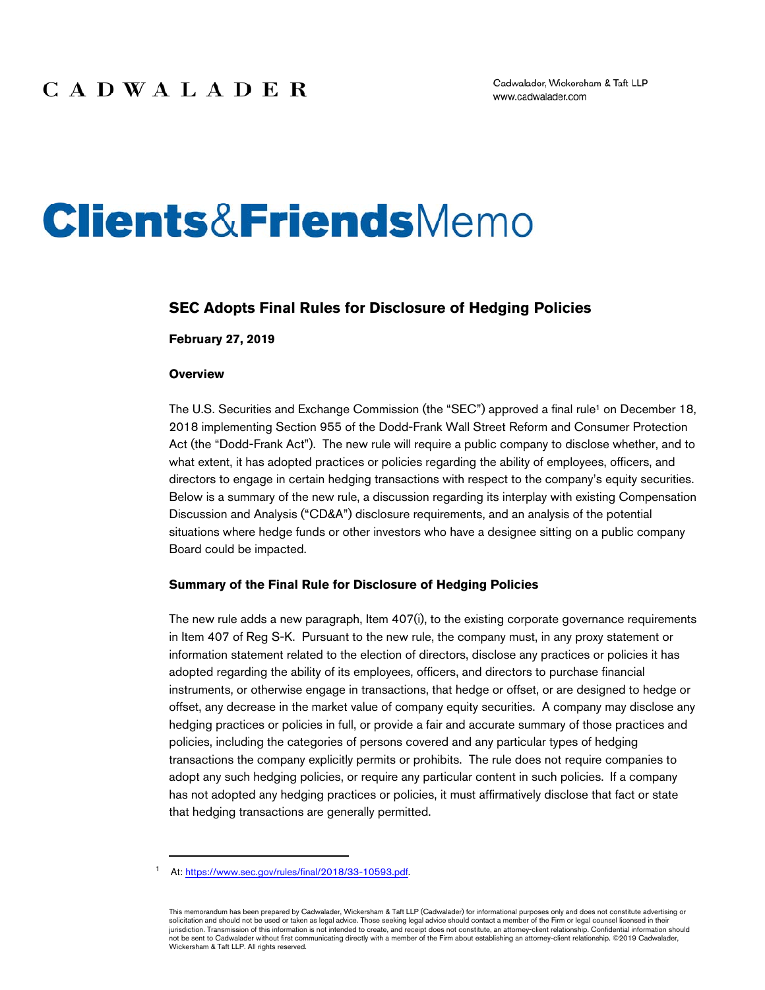# **Clients&FriendsMemo**

## **SEC Adopts Final Rules for Disclosure of Hedging Policies**

#### **February 27, 2019**

#### **Overview**

The U.S. Securities and Exchange Commission (the "SEC") approved a final rule<sup>1</sup> on December 18, 2018 implementing Section 955 of the Dodd-Frank Wall Street Reform and Consumer Protection Act (the "Dodd-Frank Act"). The new rule will require a public company to disclose whether, and to what extent, it has adopted practices or policies regarding the ability of employees, officers, and directors to engage in certain hedging transactions with respect to the company's equity securities. Below is a summary of the new rule, a discussion regarding its interplay with existing Compensation Discussion and Analysis ("CD&A") disclosure requirements, and an analysis of the potential situations where hedge funds or other investors who have a designee sitting on a public company Board could be impacted.

## **Summary of the Final Rule for Disclosure of Hedging Policies**

The new rule adds a new paragraph, Item 407(i), to the existing corporate governance requirements in Item 407 of Reg S-K. Pursuant to the new rule, the company must, in any proxy statement or information statement related to the election of directors, disclose any practices or policies it has adopted regarding the ability of its employees, officers, and directors to purchase financial instruments, or otherwise engage in transactions, that hedge or offset, or are designed to hedge or offset, any decrease in the market value of company equity securities. A company may disclose any hedging practices or policies in full, or provide a fair and accurate summary of those practices and policies, including the categories of persons covered and any particular types of hedging transactions the company explicitly permits or prohibits. The rule does not require companies to adopt any such hedging policies, or require any particular content in such policies. If a company has not adopted any hedging practices or policies, it must affirmatively disclose that fact or state that hedging transactions are generally permitted.

At: https://www.sec.gov/rules/final/2018/33-10593.pdf.

This memorandum has been prepared by Cadwalader, Wickersham & Taft LLP (Cadwalader) for informational purposes only and does not constitute advertising or solicitation and should not be used or taken as legal advice. Those seeking legal advice should contact a member of the Firm or legal counsel licensed in their jurisdiction. Transmission of this information is not intended to create, and receipt does not constitute, an attorney-client relationship. Confidential information should not be sent to Cadwalader without first communicating directly with a member of the Firm about establishing an attorney-client relationship. ©2019 Cadwalader, Wickersham & Taft LLP. All rights reserved.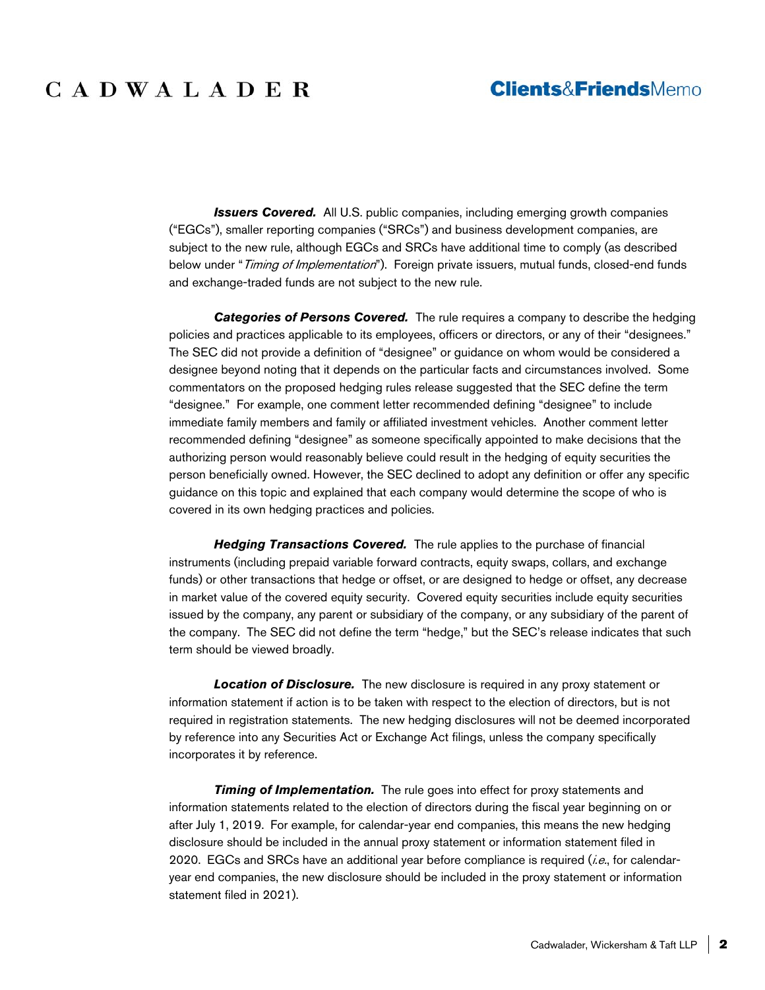## CADWALADER

## **Clients&FriendsMemo**

**Issuers Covered.** All U.S. public companies, including emerging growth companies ("EGCs"), smaller reporting companies ("SRCs") and business development companies, are subject to the new rule, although EGCs and SRCs have additional time to comply (as described below under "Timing of Implementation"). Foreign private issuers, mutual funds, closed-end funds and exchange-traded funds are not subject to the new rule.

*Categories of Persons Covered.* The rule requires a company to describe the hedging policies and practices applicable to its employees, officers or directors, or any of their "designees." The SEC did not provide a definition of "designee" or guidance on whom would be considered a designee beyond noting that it depends on the particular facts and circumstances involved. Some commentators on the proposed hedging rules release suggested that the SEC define the term "designee." For example, one comment letter recommended defining "designee" to include immediate family members and family or affiliated investment vehicles. Another comment letter recommended defining "designee" as someone specifically appointed to make decisions that the authorizing person would reasonably believe could result in the hedging of equity securities the person beneficially owned. However, the SEC declined to adopt any definition or offer any specific guidance on this topic and explained that each company would determine the scope of who is covered in its own hedging practices and policies.

*Hedging Transactions Covered.* The rule applies to the purchase of financial instruments (including prepaid variable forward contracts, equity swaps, collars, and exchange funds) or other transactions that hedge or offset, or are designed to hedge or offset, any decrease in market value of the covered equity security. Covered equity securities include equity securities issued by the company, any parent or subsidiary of the company, or any subsidiary of the parent of the company. The SEC did not define the term "hedge," but the SEC's release indicates that such term should be viewed broadly.

*Location of Disclosure.* The new disclosure is required in any proxy statement or information statement if action is to be taken with respect to the election of directors, but is not required in registration statements. The new hedging disclosures will not be deemed incorporated by reference into any Securities Act or Exchange Act filings, unless the company specifically incorporates it by reference.

**Timing of Implementation.** The rule goes into effect for proxy statements and information statements related to the election of directors during the fiscal year beginning on or after July 1, 2019. For example, for calendar-year end companies, this means the new hedging disclosure should be included in the annual proxy statement or information statement filed in 2020. EGCs and SRCs have an additional year before compliance is required ( $i.e.,$  for calendaryear end companies, the new disclosure should be included in the proxy statement or information statement filed in 2021).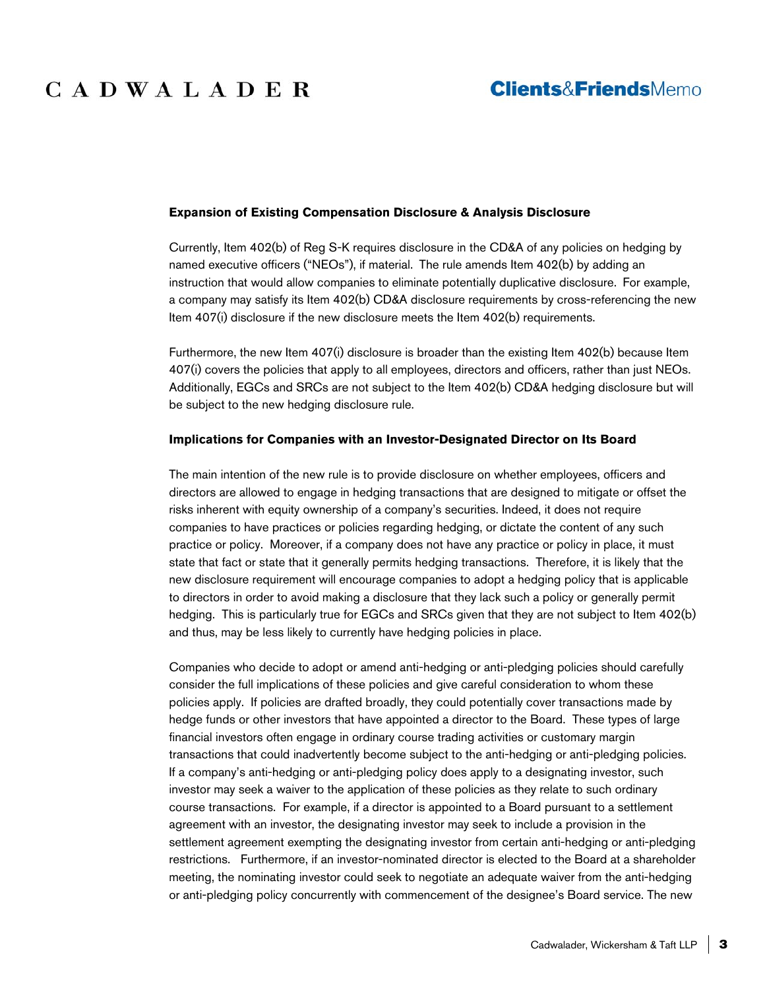# CADWALADER

## **Clients&FriendsMemo**

### **Expansion of Existing Compensation Disclosure & Analysis Disclosure**

Currently, Item 402(b) of Reg S-K requires disclosure in the CD&A of any policies on hedging by named executive officers ("NEOs"), if material. The rule amends Item 402(b) by adding an instruction that would allow companies to eliminate potentially duplicative disclosure. For example, a company may satisfy its Item 402(b) CD&A disclosure requirements by cross-referencing the new Item 407(i) disclosure if the new disclosure meets the Item 402(b) requirements.

Furthermore, the new Item 407(i) disclosure is broader than the existing Item 402(b) because Item 407(i) covers the policies that apply to all employees, directors and officers, rather than just NEOs. Additionally, EGCs and SRCs are not subject to the Item 402(b) CD&A hedging disclosure but will be subject to the new hedging disclosure rule.

### **Implications for Companies with an Investor-Designated Director on Its Board**

The main intention of the new rule is to provide disclosure on whether employees, officers and directors are allowed to engage in hedging transactions that are designed to mitigate or offset the risks inherent with equity ownership of a company's securities. Indeed, it does not require companies to have practices or policies regarding hedging, or dictate the content of any such practice or policy. Moreover, if a company does not have any practice or policy in place, it must state that fact or state that it generally permits hedging transactions. Therefore, it is likely that the new disclosure requirement will encourage companies to adopt a hedging policy that is applicable to directors in order to avoid making a disclosure that they lack such a policy or generally permit hedging. This is particularly true for EGCs and SRCs given that they are not subject to Item 402(b) and thus, may be less likely to currently have hedging policies in place.

Companies who decide to adopt or amend anti-hedging or anti-pledging policies should carefully consider the full implications of these policies and give careful consideration to whom these policies apply. If policies are drafted broadly, they could potentially cover transactions made by hedge funds or other investors that have appointed a director to the Board. These types of large financial investors often engage in ordinary course trading activities or customary margin transactions that could inadvertently become subject to the anti-hedging or anti-pledging policies. If a company's anti-hedging or anti-pledging policy does apply to a designating investor, such investor may seek a waiver to the application of these policies as they relate to such ordinary course transactions. For example, if a director is appointed to a Board pursuant to a settlement agreement with an investor, the designating investor may seek to include a provision in the settlement agreement exempting the designating investor from certain anti-hedging or anti-pledging restrictions. Furthermore, if an investor-nominated director is elected to the Board at a shareholder meeting, the nominating investor could seek to negotiate an adequate waiver from the anti-hedging or anti-pledging policy concurrently with commencement of the designee's Board service. The new